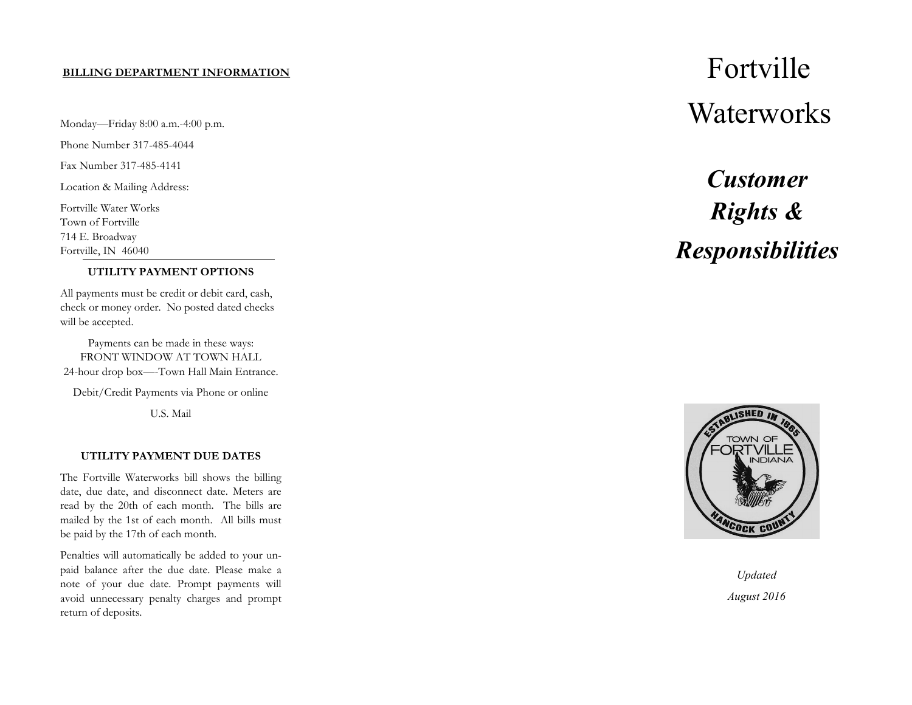Monday—Friday 8:00 a.m.-4:00 p.m.

Phone Number 317-485-4044

Fax Number 317-485-4141

Location & Mailing Address:

Fortville Water Works Town of Fortville 714 E. Broadway Fortville, IN 46040

#### **UTILITY PAYMENT OPTIONS**

All payments must be credit or debit card, cash, check or money order. No posted dated checks will be accepted.

Payments can be made in these ways: FRONT WINDOW AT TOWN HALL 24-hour drop box—-Town Hall Main Entrance.

Debit/Credit Payments via Phone or online

U.S. Mail

#### **UTILITY PAYMENT DUE DATES**

The Fortville Waterworks bill shows the billing date, due date, and disconnect date. Meters are read by the 20th of each month. The bills are mailed by the 1st of each month. All bills must be paid by the 17th of each month.

Penalties will automatically be added to your unpaid balance after the due date. Please make a note of your due date. Prompt payments will avoid unnecessary penalty charges and prompt return of deposits.

# **BILLING DEPARTMENT INFORMATION Waterworks**

# *Customer Rights & Responsibilities*



*Updated August 2016*